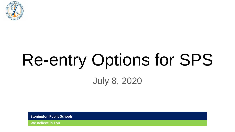

# Re-entry Options for SPS July 8, 2020

**Stonington Public Schools**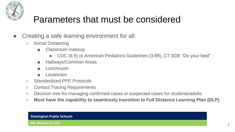

### Parameters that must be considered

- Creating a safe learning environment for all:
	- Social Distancing
		- Classroom makeup
			- CDC (6 ft) or American Pediatrics Guidelines (3-6ft), CT SDE "Do your best"
		- **Hallways/Common Areas**
		- **Lunchroom**
		- Lavatories
	- Standardized PPE Protocols
	- Contact Tracing Requirements
	- Decision tree for managing confirmed cases or suspected cases for students/adults
	- **Must have the capability to seamlessly transition to Full Distance Learning Plan (DLP)**

#### **Stonington Public Schools**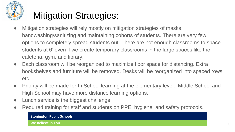

# Mitigation Strategies:

- Mitigation strategies will rely mostly on mitigation strategies of masks, handwashing/sanitizing and maintaining cohorts of students. There are very few options to completely spread students out. There are not enough classrooms to space students at 6' even if we create temporary classrooms in the large spaces like the cafeteria, gym, and library.
- Each classroom will be reorganized to maximize floor space for distancing. Extra bookshelves and furniture will be removed. Desks will be reorganized into spaced rows, etc.
- Priority will be made for In School learning at the elementary level. Middle School and High School may have more distance learning options.
- Lunch service is the biggest challenge
- Required training for staff and students on PPE, hygiene, and safety protocols.

#### **Stonington Public Schools**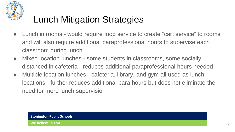

# Lunch Mitigation Strategies

- Lunch in rooms would require food service to create "cart service" to rooms and will also require additional paraprofessional hours to supervise each classroom during lunch
- Mixed location lunches some students in classrooms, some socially distanced in cafeteria - reduces additional paraprofessional hours needed
- Multiple location lunches cafeteria, library, and gym all used as lunch locations - further reduces additional para hours but does not eliminate the need for more lunch supervision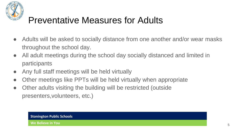

### Preventative Measures for Adults

- Adults will be asked to socially distance from one another and/or wear masks throughout the school day.
- All adult meetings during the school day socially distanced and limited in participants
- Any full staff meetings will be held virtually
- Other meetings like PPTs will be held virtually when appropriate
- Other adults visiting the building will be restricted (outside presenters,volunteers, etc.)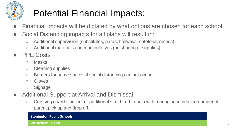

# Potential Financial Impacts:

- Financial impacts will be dictated by what options are chosen for each school.
- Social Distancing impacts for all plans will result in:
	- Additional supervision (substitutes, paras, hallways, cafeteria, recess)
	- Additional materials and manipulatives (no sharing of supplies)
- **PPE Costs** 
	- Masks
	- Cleaning supplies
	- Barriers for some spaces if social distancing can not occur
	- Gloves
	- Signage
- Additional Support at Arrival and Dismissal
	- Crossing guards, police, or additional staff hired to help with managing increased number of parent pick up and drop off.

### **Stonington Public Schools**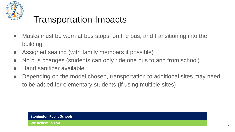

# Transportation Impacts

- Masks must be worn at bus stops, on the bus, and transitioning into the building.
- Assigned seating (with family members if possible)
- No bus changes (students can only ride one bus to and from school).
- **Hand sanitizer available**
- Depending on the model chosen, transportation to additional sites may need to be added for elementary students (if using multiple sites)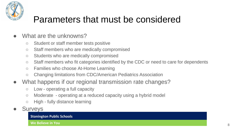

### Parameters that must be considered

- What are the unknowns?
	- Student or staff member tests positive
	- Staff members who are medically compromised
	- Students who are medically compromised
	- Staff members who fit categories identified by the CDC or need to care for dependents
	- Families who choose At-Home Learning
	- Changing limitations from CDC/American Pediatrics Association
- What happens if our regional transmission rate changes?
	- Low operating a full capacity
	- Moderate operating at a reduced capacity using a hybrid model
	- High fully distance learning
- **Surveys**

**Stonington Public Schools**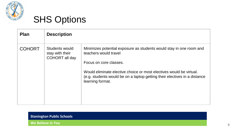

| <b>Plan</b>   | <b>Description</b>                                  |                                                                                                                                                                                                                                                                                                |  |
|---------------|-----------------------------------------------------|------------------------------------------------------------------------------------------------------------------------------------------------------------------------------------------------------------------------------------------------------------------------------------------------|--|
| <b>COHORT</b> | Students would<br>stay with their<br>COHORT all day | Minimizes potential exposure as students would stay in one room and<br>teachers would travel<br>Focus on core classes.<br>Would eliminate elective choice or most electives would be virtual.<br>(e.g. students would be on a laptop getting their electives in a distance<br>learning format. |  |

### **Stonington Public Schools**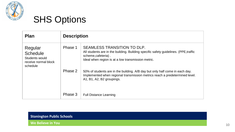

| <b>Plan</b>                                                                      | <b>Description</b> |                                                                                                                                                                                                                           |
|----------------------------------------------------------------------------------|--------------------|---------------------------------------------------------------------------------------------------------------------------------------------------------------------------------------------------------------------------|
| Regular<br><b>Schedule</b><br>Students would<br>receive normal block<br>schedule | Phase 1            | SEAMLESS TRANSITION TO DLP.<br>All students are in the building. Building specific safety guidelines. (PPE, traffic<br>scheme, cafeteria).<br>Ideal when region is at a low transmission metric.                          |
|                                                                                  | Phase 2<br>Phase 3 | 50% of students are in the building. A/B day but only half come in each day.<br>Implemented when regional transmission metrics reach a predetermined level.<br>A1, B1, A2, B2 groupings.<br><b>Full Distance Learning</b> |

### **Stonington Public Schools**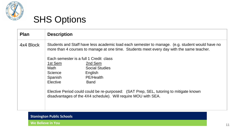

| <b>Plan</b> | <b>Description</b>                                                                                                                                                                           |                       |  |
|-------------|----------------------------------------------------------------------------------------------------------------------------------------------------------------------------------------------|-----------------------|--|
| 4x4 Block   | Students and Staff have less academic load each semester to manage. (e.g. student would have no<br>more than 4 courses to manage at one time. Students meet every day with the same teacher. |                       |  |
|             | Each semester is a full 1 Credit class                                                                                                                                                       |                       |  |
|             | 1st Sem                                                                                                                                                                                      | 2nd Sem               |  |
|             | Math                                                                                                                                                                                         | <b>Social Studies</b> |  |
|             | Science                                                                                                                                                                                      | English               |  |
|             | Spanish                                                                                                                                                                                      | PE/Health             |  |
|             | Elective                                                                                                                                                                                     | <b>Band</b>           |  |
|             | Elective Period could could be re-purposed: (SAT Prep, SEL, tutoring to mitigate known<br>disadvantages of the 4X4 schedule). Will require MOU with SEA.                                     |                       |  |

### **Stonington Public Schools**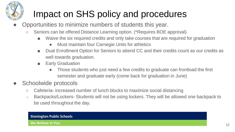# Impact on SHS policy and procedures

- Opportunities to minimize numbers of students this year.
	- Seniors can be offered Distance Learning option. (\*Requires BOE approval)
		- Waive the six required credits and only take courses that are required for graduation
			- **Must maintain four Carnegie Units for athletics**
		- Dual Enrollment Option for Seniors to attend CC and their credits count as our credits as well towards graduation.
		- Early Graduation
			- Those students who just need a few credits to graduate can frontload the first semester and graduate early (come back for graduation in June)
- Schoolwide protocols
	- Cafeteria- increased number of lunch blocks to maximize social distancing
	- Backpacks/Lockers- Students will not be using lockers. They will be allowed one backpack to be used throughout the day.

#### **Stonington Public Schools**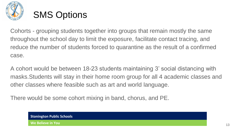

Cohorts - grouping students together into groups that remain mostly the same throughout the school day to limit the exposure, facilitate contact tracing, and reduce the number of students forced to quarantine as the result of a confirmed case.

A cohort would be between 18-23 students maintaining 3' social distancing with masks.Students will stay in their home room group for all 4 academic classes and other classes where feasible such as art and world language.

There would be some cohort mixing in band, chorus, and PE.

**Stonington Public Schools**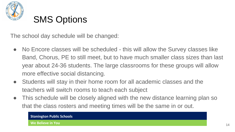

The school day schedule will be changed:

- No Encore classes will be scheduled this will allow the Survey classes like Band, Chorus, PE to still meet, but to have much smaller class sizes than last year about 24-36 students. The large classrooms for these groups will allow more effective social distancing.
- Students will stay in their home room for all academic classes and the teachers will switch rooms to teach each subject
- This schedule will be closely aligned with the new distance learning plan so that the class rosters and meeting times will be the same in or out.

#### **Stonington Public Schools**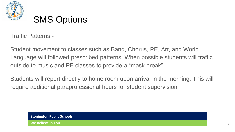

Traffic Patterns -

Student movement to classes such as Band, Chorus, PE, Art, and World Language will followed prescribed patterns. When possible students will traffic outside to music and PE classes to provide a "mask break"

Students will report directly to home room upon arrival in the morning. This will require additional paraprofessional hours for student supervision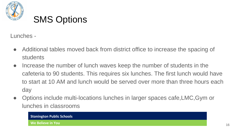

Lunches -

- Additional tables moved back from district office to increase the spacing of students
- Increase the number of lunch waves keep the number of students in the cafeteria to 90 students. This requires six lunches. The first lunch would have to start at 10 AM and lunch would be served over more than three hours each day
- Options include multi-locations lunches in larger spaces cafe, LMC, Gym or lunches in classrooms

#### **Stonington Public Schools**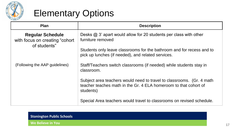

### Elementary Options

| <b>Plan</b>                                                                | <b>Description</b>                                                                                                                                      |
|----------------------------------------------------------------------------|---------------------------------------------------------------------------------------------------------------------------------------------------------|
| <b>Regular Schedule</b><br>with focus on creating "cohort"<br>of students" | Desks $@3'$ apart would allow for 20 students per class with other<br>furniture removed                                                                 |
|                                                                            | Students only leave classrooms for the bathroom and for recess and to<br>pick up lunches (if needed), and related services.                             |
| (Following the AAP guidelines)                                             | Staff/Teachers switch classrooms (if needed) while students stay in<br>classroom.                                                                       |
|                                                                            | Subject area teachers would need to travel to classrooms. (Gr. 4 math)<br>teacher teaches math in the Gr. 4 ELA homeroom to that cohort of<br>students) |
|                                                                            | Special Area teachers would travel to classrooms on revised schedule.                                                                                   |

#### **Stonington Public Schools**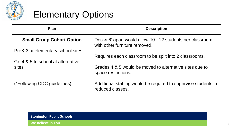

# Elementary Options

| <b>Plan</b>                        | <b>Description</b>                                                                         |
|------------------------------------|--------------------------------------------------------------------------------------------|
| <b>Small Group Cohort Option</b>   | Desks 6' apart would allow 10 - 12 students per classroom<br>with other furniture removed. |
| PreK-3 at elementary school sites  |                                                                                            |
| Gr. 4 & 5 In school at alternative | Requires each classroom to be split into 2 classrooms.                                     |
| sites                              | Grades 4 & 5 would be moved to alternative sites due to<br>space restrictions.             |
| (*Following CDC guidelines)        | Additional staffing would be required to supervise students in<br>reduced classes.         |
|                                    |                                                                                            |

**Stonington Public Schools**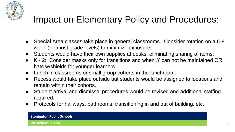

### Impact on Elementary Policy and Procedures:

- Special Area classes take place in general classrooms. Consider rotation on a 6-8 week (for most grade levels) to minimize exposure.
- Students would have their own supplies at desks, eliminating sharing of items.
- K 2: Consider masks only for transitions and when 3' can not be maintained OR hats w/shields for younger learners.
- Lunch in classrooms or small group cohorts in the lunchroom.
- Recess would take place outside but students would be assigned to locations and remain within their cohorts.
- Student arrival and dismissal procedures would be revised and additional staffing required.
- Protocols for hallways, bathrooms, transitioning in and out of building, etc.

#### **Stonington Public Schools**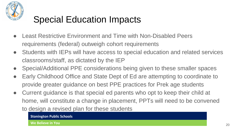

# Special Education Impacts

- **Least Restrictive Environment and Time with Non-Disabled Peers** requirements (federal) outweigh cohort requirements
- Students with IEPs will have access to special education and related services classrooms/staff, as dictated by the IEP
- Special/Additional PPE considerations being given to these smaller spaces
- Early Childhood Office and State Dept of Ed are attempting to coordinate to provide greater guidance on best PPE practices for Prek age students
- Current guidance is that special ed parents who opt to keep their child at home, will constitute a change in placement, PPTs will need to be convened to design a revised plan for these students

**Stonington Public Schools**